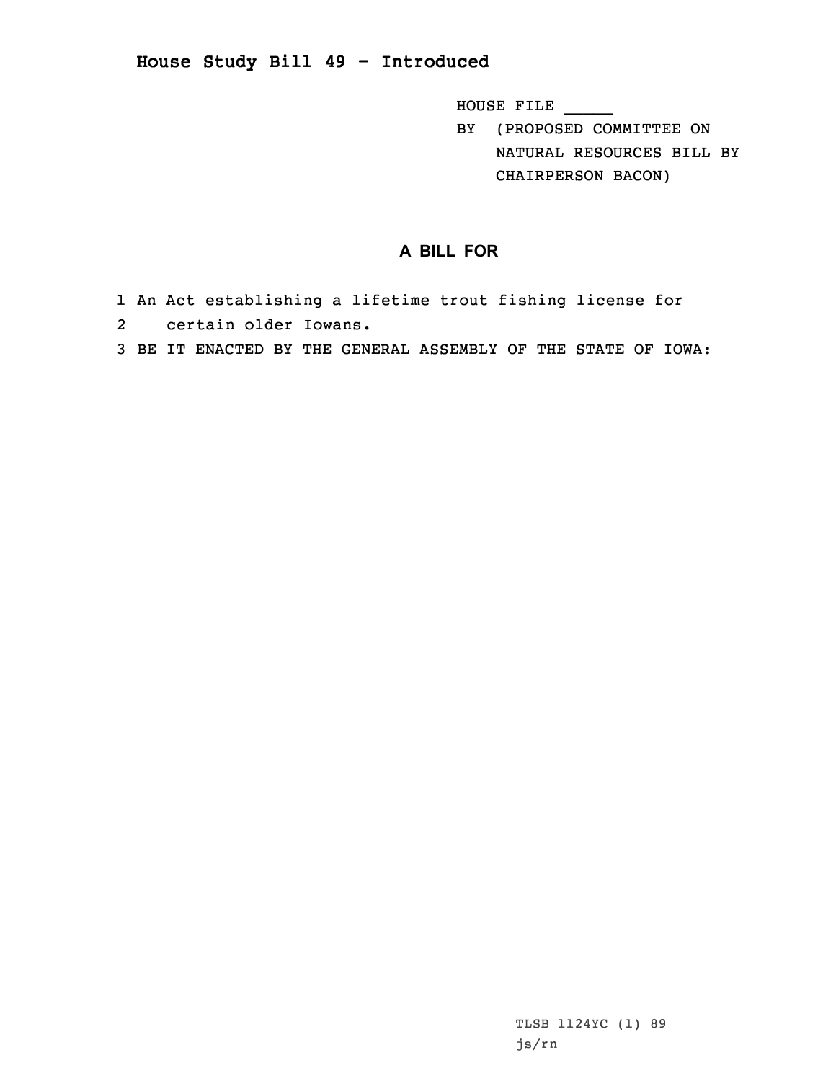## **House Study Bill 49 - Introduced**

HOUSE FILE \_\_\_\_\_

BY (PROPOSED COMMITTEE ON NATURAL RESOURCES BILL BY CHAIRPERSON BACON)

## **A BILL FOR**

- 1 An Act establishing <sup>a</sup> lifetime trout fishing license for
- 2 certain older Iowans.
- 3 BE IT ENACTED BY THE GENERAL ASSEMBLY OF THE STATE OF IOWA: